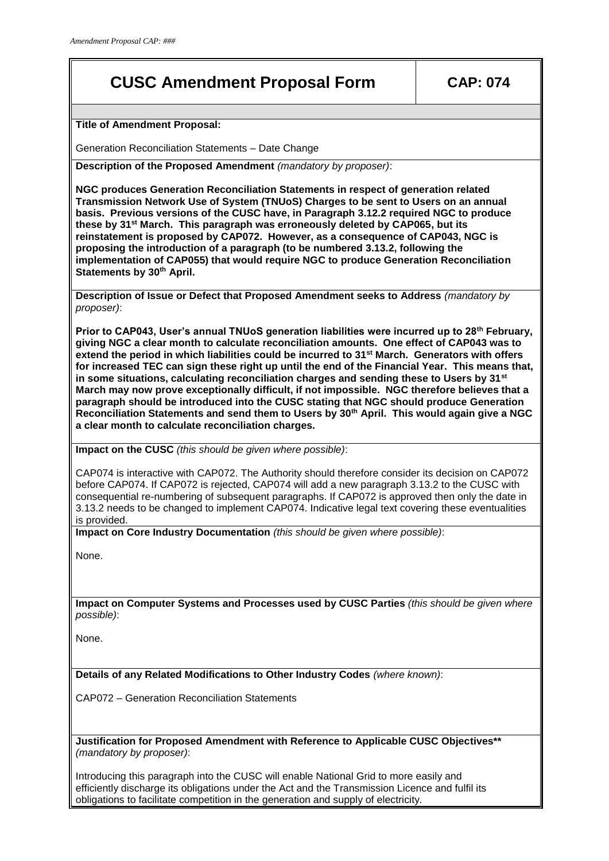# **CUSC Amendment Proposal Form CAP: 074**

**Title of Amendment Proposal:**

Generation Reconciliation Statements – Date Change

**Description of the Proposed Amendment** *(mandatory by proposer)*:

**NGC produces Generation Reconciliation Statements in respect of generation related Transmission Network Use of System (TNUoS) Charges to be sent to Users on an annual basis. Previous versions of the CUSC have, in Paragraph 3.12.2 required NGC to produce these by 31st March. This paragraph was erroneously deleted by CAP065, but its reinstatement is proposed by CAP072. However, as a consequence of CAP043, NGC is proposing the introduction of a paragraph (to be numbered 3.13.2, following the implementation of CAP055) that would require NGC to produce Generation Reconciliation Statements by 30th April.**

**Description of Issue or Defect that Proposed Amendment seeks to Address** *(mandatory by proposer)*:

**Prior to CAP043, User's annual TNUoS generation liabilities were incurred up to 28th February, giving NGC a clear month to calculate reconciliation amounts. One effect of CAP043 was to extend the period in which liabilities could be incurred to 31st March. Generators with offers for increased TEC can sign these right up until the end of the Financial Year. This means that, in some situations, calculating reconciliation charges and sending these to Users by 31st March may now prove exceptionally difficult, if not impossible. NGC therefore believes that a paragraph should be introduced into the CUSC stating that NGC should produce Generation Reconciliation Statements and send them to Users by 30th April. This would again give a NGC a clear month to calculate reconciliation charges.**

**Impact on the CUSC** *(this should be given where possible)*:

CAP074 is interactive with CAP072. The Authority should therefore consider its decision on CAP072 before CAP074. If CAP072 is rejected, CAP074 will add a new paragraph 3.13.2 to the CUSC with consequential re-numbering of subsequent paragraphs. If CAP072 is approved then only the date in 3.13.2 needs to be changed to implement CAP074. Indicative legal text covering these eventualities is provided.

**Impact on Core Industry Documentation** *(this should be given where possible)*:

None.

**Impact on Computer Systems and Processes used by CUSC Parties** *(this should be given where possible)*:

None.

**Details of any Related Modifications to Other Industry Codes** *(where known)*:

CAP072 – Generation Reconciliation Statements

**Justification for Proposed Amendment with Reference to Applicable CUSC Objectives\*\***  *(mandatory by proposer)*:

Introducing this paragraph into the CUSC will enable National Grid to more easily and efficiently discharge its obligations under the Act and the Transmission Licence and fulfil its obligations to facilitate competition in the generation and supply of electricity.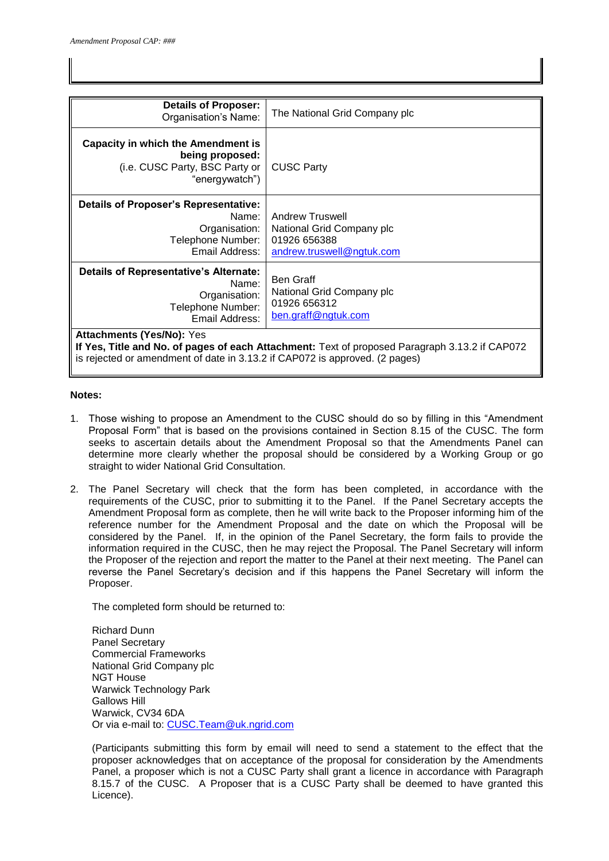| <b>Details of Proposer:</b><br>Organisation's Name:                                                                                                                                                               | The National Grid Company plc                                                                    |
|-------------------------------------------------------------------------------------------------------------------------------------------------------------------------------------------------------------------|--------------------------------------------------------------------------------------------------|
| <b>Capacity in which the Amendment is</b><br>being proposed:<br>(i.e. CUSC Party, BSC Party or<br>"energywatch")                                                                                                  | <b>CUSC Party</b>                                                                                |
| <b>Details of Proposer's Representative:</b><br>Name:<br>Organisation:<br>Telephone Number:<br>Email Address:                                                                                                     | <b>Andrew Truswell</b><br>National Grid Company plc<br>01926 656388<br>andrew.truswell@ngtuk.com |
| <b>Details of Representative's Alternate:</b><br>Name:<br>Organisation:<br>Telephone Number:<br>Email Address:                                                                                                    | <b>Ben Graff</b><br>National Grid Company plc<br>01926 656312<br>ben.graff@ngtuk.com             |
| <b>Attachments (Yes/No): Yes</b><br>If Yes, Title and No. of pages of each Attachment: Text of proposed Paragraph 3.13.2 if CAP072<br>is rejected or amendment of date in 3.13.2 if CAP072 is approved. (2 pages) |                                                                                                  |

#### **Notes:**

- 1. Those wishing to propose an Amendment to the CUSC should do so by filling in this "Amendment Proposal Form" that is based on the provisions contained in Section 8.15 of the CUSC. The form seeks to ascertain details about the Amendment Proposal so that the Amendments Panel can determine more clearly whether the proposal should be considered by a Working Group or go straight to wider National Grid Consultation.
- 2. The Panel Secretary will check that the form has been completed, in accordance with the requirements of the CUSC, prior to submitting it to the Panel. If the Panel Secretary accepts the Amendment Proposal form as complete, then he will write back to the Proposer informing him of the reference number for the Amendment Proposal and the date on which the Proposal will be considered by the Panel. If, in the opinion of the Panel Secretary, the form fails to provide the information required in the CUSC, then he may reject the Proposal. The Panel Secretary will inform the Proposer of the rejection and report the matter to the Panel at their next meeting. The Panel can reverse the Panel Secretary's decision and if this happens the Panel Secretary will inform the Proposer.

The completed form should be returned to:

Richard Dunn Panel Secretary Commercial Frameworks National Grid Company plc NGT House Warwick Technology Park Gallows Hill Warwick, CV34 6DA Or via e-mail to: [CUSC.Team@uk.ngrid.com](mailto:CUSC.Team@uk.ngrid.com)

(Participants submitting this form by email will need to send a statement to the effect that the proposer acknowledges that on acceptance of the proposal for consideration by the Amendments Panel, a proposer which is not a CUSC Party shall grant a licence in accordance with Paragraph 8.15.7 of the CUSC. A Proposer that is a CUSC Party shall be deemed to have granted this Licence).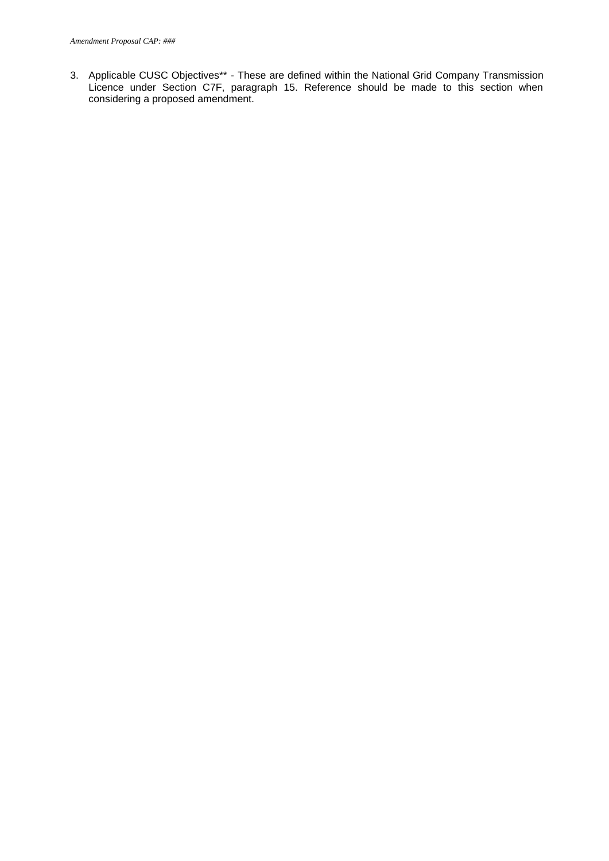3. Applicable CUSC Objectives\*\* - These are defined within the National Grid Company Transmission Licence under Section C7F, paragraph 15. Reference should be made to this section when considering a proposed amendment.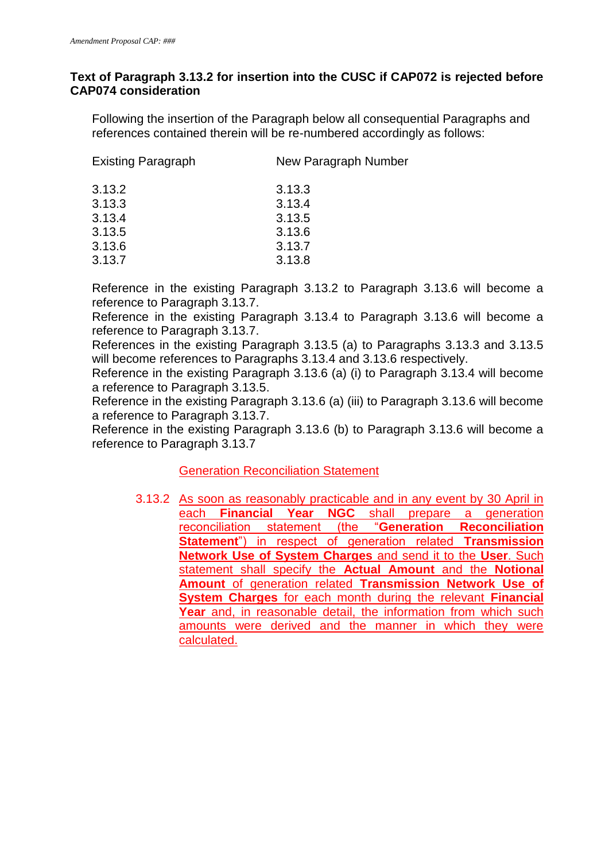### **Text of Paragraph 3.13.2 for insertion into the CUSC if CAP072 is rejected before CAP074 consideration**

Following the insertion of the Paragraph below all consequential Paragraphs and references contained therein will be re-numbered accordingly as follows:

| <b>Existing Paragraph</b> | New Paragraph Number |
|---------------------------|----------------------|
| 3.13.2                    | 3.13.3               |
| 3.13.3                    | 3.13.4               |
| 3.13.4                    | 3.13.5               |
| 3.13.5                    | 3.13.6               |
| 3.13.6                    | 3.13.7               |
| 3.13.7                    | 3.13.8               |
|                           |                      |

Reference in the existing Paragraph 3.13.2 to Paragraph 3.13.6 will become a reference to Paragraph 3.13.7.

Reference in the existing Paragraph 3.13.4 to Paragraph 3.13.6 will become a reference to Paragraph 3.13.7.

References in the existing Paragraph 3.13.5 (a) to Paragraphs 3.13.3 and 3.13.5 will become references to Paragraphs 3.13.4 and 3.13.6 respectively.

Reference in the existing Paragraph 3.13.6 (a) (i) to Paragraph 3.13.4 will become a reference to Paragraph 3.13.5.

Reference in the existing Paragraph 3.13.6 (a) (iii) to Paragraph 3.13.6 will become a reference to Paragraph 3.13.7.

Reference in the existing Paragraph 3.13.6 (b) to Paragraph 3.13.6 will become a reference to Paragraph 3.13.7

## **Generation Reconciliation Statement**

3.13.2 As soon as reasonably practicable and in any event by 30 April in each **Financial Year NGC** shall prepare a generation reconciliation statement (the "**Generation Reconciliation Statement**") in respect of generation related **Transmission Network Use of System Charges** and send it to the **User**. Such statement shall specify the **Actual Amount** and the **Notional Amount** of generation related **Transmission Network Use of System Charges** for each month during the relevant **Financial Year** and, in reasonable detail, the information from which such amounts were derived and the manner in which they were calculated.